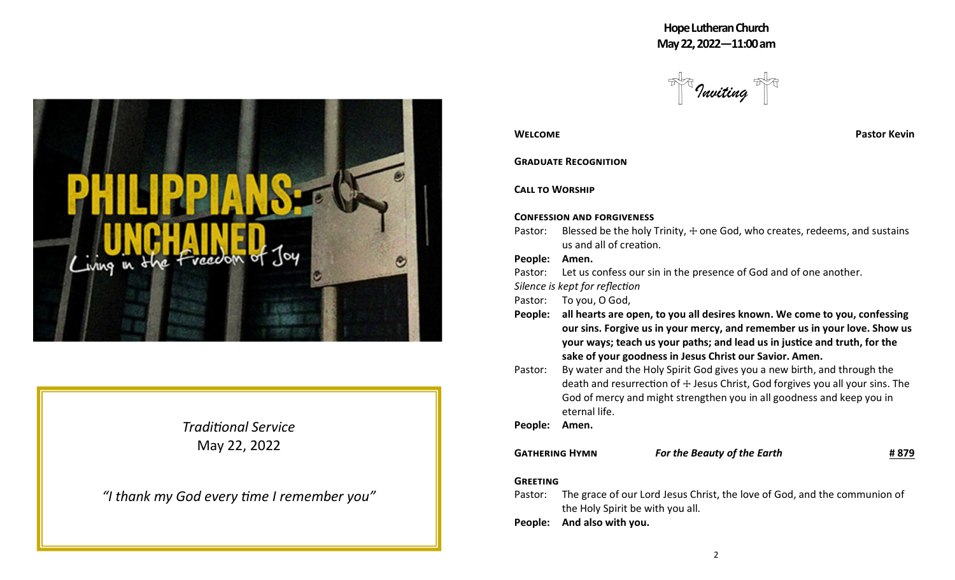**HopeLutheranChurch May22,2022—11:00am**

*Inviting*



*Tradional Service* May 22, 2022

*"I thank my God every me I remember you"*

| <b>WELCOME</b> |  |
|----------------|--|
|----------------|--|

**Pastor Kevin** 

# **GRADUATE RECOGNITION**

**CALL TO WORSHIP** 

### **CONFESSION AND FORGIVENESS**

Pastor: Blessed be the holy Trinity,  $+$  one God, who creates, redeems, and sustains us and all of creation.

# **People: Amen.**

- Pastor: Let us confess our sin in the presence of God and of one another.
- *Silence is kept for reflection*

Pastor: To you, O God,

- **People: all hearts are open, to you all desires known. We come to you, confessing our sins. Forgive us in your mercy, and remember us in your love. Show us your ways; teach us your paths; and lead us in jusce and truth, for the sake of your goodness in Jesus Christ our Savior. Amen.**
- Pastor: By water and the Holy Spirit God gives you a new birth, and through the death and resurrection of  $+$  Jesus Christ, God forgives you all your sins. The God of mercy and might strengthen you in all goodness and keep you in eternal life.

**People: Amen.**

**G H** *For the Beauty of the Earth* **# 879**

# **GREETING**

- Pastor: The grace of our Lord Jesus Christ, the love of God, and the communion of the Holy Spirit be with you all.
- **People: And also with you.**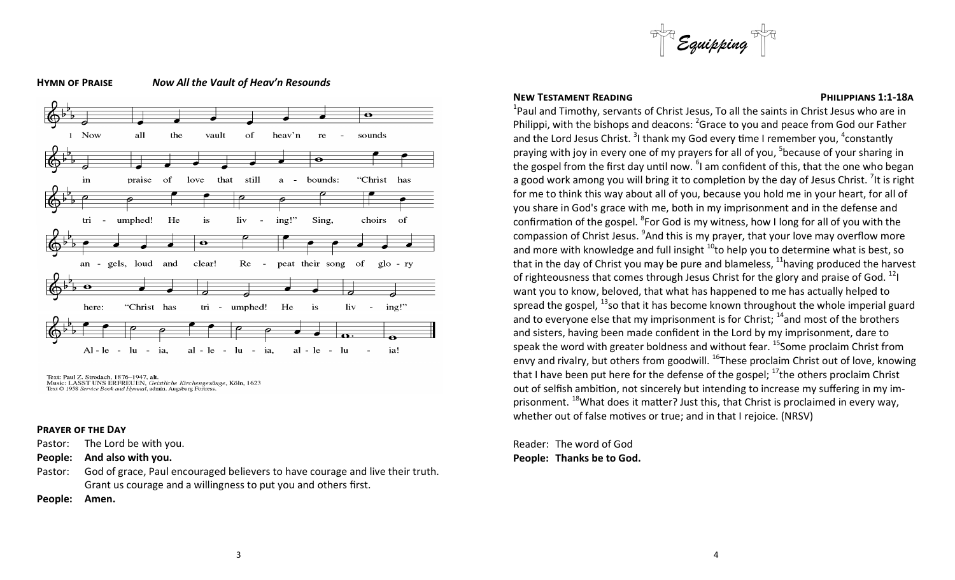

### **H P** *Now All the Vault of Heav'n Resounds*



Text: Paul Z. Strodach, 1876–1947, alt.<br>Music: LASST UNS ERFREUEN, Geistliche Kirchengesänge, Köln, 1623 Text © 1958 Service Book and Hymnal, admin. Augsburg Fortress

### **PRAYER OF THE DAY**

Pastor: The Lord be with you.

**People: And also with you.**

Pastor: God of grace, Paul encouraged believers to have courage and live their truth. Grant us courage and a willingness to put you and others first.

**People: Amen.**

### **NEW TESTAMENT READING CONSUMING READING CONSUMING PHILIPPIANS** 1:1-18A

 $^{1}$ Paul and Timothy, servants of Christ Jesus, To all the saints in Christ Jesus who are in Philippi, with the bishops and deacons: <sup>2</sup>Grace to you and peace from God our Father and the Lord Jesus Christ.  $3$ I thank my God every time I remember you,  $4$ constantly praying with joy in every one of my prayers for all of you, <sup>5</sup>because of your sharing in the gospel from the first day until now. <sup>6</sup>I am confident of this, that the one who began a good work among you will bring it to completion by the day of Jesus Christ. <sup>7</sup>It is right for me to think this way about all of you, because you hold me in your heart, for all of you share in God's grace with me, both in my imprisonment and in the defense and confirmation of the gospel.  ${}^{8}$ For God is my witness, how I long for all of you with the compassion of Christ Jesus. <sup>9</sup>And this is my prayer, that your love may overflow more and more with knowledge and full insight  $10$ to help you to determine what is best, so that in the day of Christ you may be pure and blameless,  $11$  having produced the harvest of righteousness that comes through Jesus Christ for the glory and praise of God.  $^{12}$ I want you to know, beloved, that what has happened to me has actually helped to spread the gospel,  $^{13}$ so that it has become known throughout the whole imperial guard and to everyone else that my imprisonment is for Christ;  $14$  and most of the brothers and sisters, having been made confident in the Lord by my imprisonment, dare to speak the word with greater boldness and without fear.  $^{15}$ Some proclaim Christ from envy and rivalry, but others from goodwill.  $^{16}$ These proclaim Christ out of love, knowing that I have been put here for the defense of the gospel;  $^{17}$ the others proclaim Christ out of selfish ambition, not sincerely but intending to increase my suffering in my imprisonment.  $18$ What does it matter? Just this, that Christ is proclaimed in every way, whether out of false motives or true; and in that I rejoice. (NRSV)

Reader: The word of God **People: Thanks be to God.**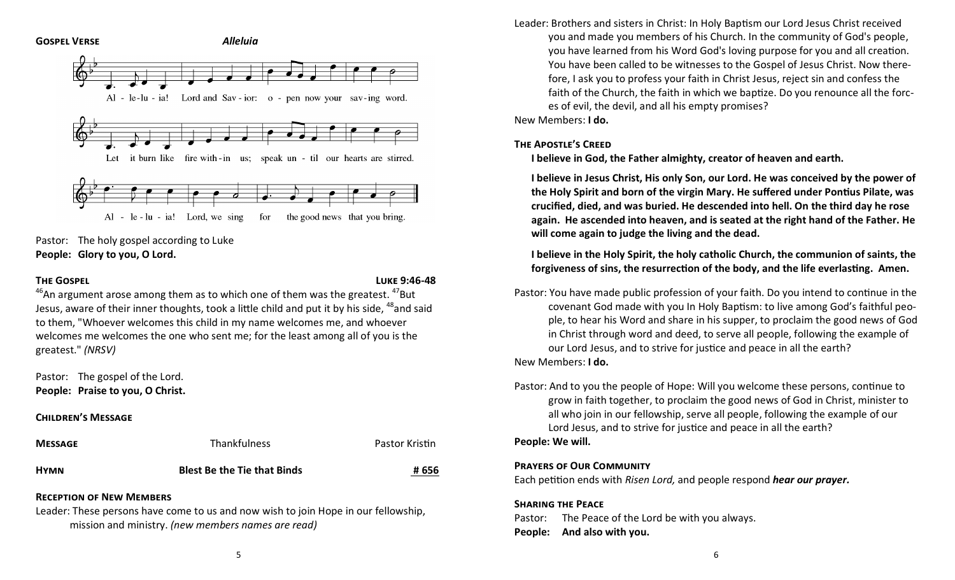

Pastor: The holy gospel according to Luke **People: Glory to you, O Lord.**

**THE GOSPEI** 

 $46$ An argument arose among them as to which one of them was the greatest.  $47$ But Jesus, aware of their inner thoughts, took a little child and put it by his side, <sup>48</sup>and said to them, "Whoever welcomes this child in my name welcomes me, and whoever welcomes me welcomes the one who sent me; for the least among all of you is the greatest." *(NRSV)*

Pastor: The gospel of the Lord. **People: Praise to you, O Christ.**

# **CHILDREN'S MESSAGE**

| <b>MESSAGE</b> | <b>Thankfulness</b>                | Pastor Kristin |
|----------------|------------------------------------|----------------|
| HYMN           | <b>Blest Be the Tie that Binds</b> | # 656          |

# **RECEPTION OF NEW MEMBERS**

Leader: These persons have come to us and now wish to join Hope in our fellowship, mission and ministry. *(new members names are read)*

Leader: Brothers and sisters in Christ: In Holy Baptism our Lord Jesus Christ received you and made you members of his Church. In the community of God's people, you have learned from his Word God's loving purpose for you and all creation. You have been called to be witnesses to the Gospel of Jesus Christ. Now therefore, I ask you to profess your faith in Christ Jesus, reject sin and confess the faith of the Church, the faith in which we baptize. Do you renounce all the forces of evil, the devil, and all his empty promises?

New Members: **I do.**

# **THE APOSTLE'S CREED**

**I believe in God, the Father almighty, creator of heaven and earth.**

**I believe in Jesus Christ, His only Son, our Lord. He was conceived by the power of the Holy Spirit and born of the virgin Mary. He suffered under Ponus Pilate, was crucified, died, and was buried. He descended into hell. On the third day he rose again. He ascended into heaven, and is seated at the right hand of the Father. He will come again to judge the living and the dead.**

**I believe in the Holy Spirit, the holy catholic Church, the communion of saints, the forgiveness** of sins, the resurrection of the body, and the life everlasting. Amen.

Pastor: You have made public profession of your faith. Do you intend to continue in the covenant God made with you In Holy Baptism: to live among God's faithful people, to hear his Word and share in his supper, to proclaim the good news of God in Christ through word and deed, to serve all people, following the example of our Lord Jesus, and to strive for justice and peace in all the earth?

New Members: **I do.**

Pastor: And to you the people of Hope: Will you welcome these persons, continue to grow in faith together, to proclaim the good news of God in Christ, minister to all who join in our fellowship, serve all people, following the example of our Lord Jesus, and to strive for justice and peace in all the earth?

# **People: We will.**

# **PRAYERS OF OUR COMMUNITY**

Each petition ends with *Risen Lord*, and people respond *hear our prayer.* 

**SHARING THE PEACE** Pastor: The Peace of the Lord be with you always. **People: And also with you.**